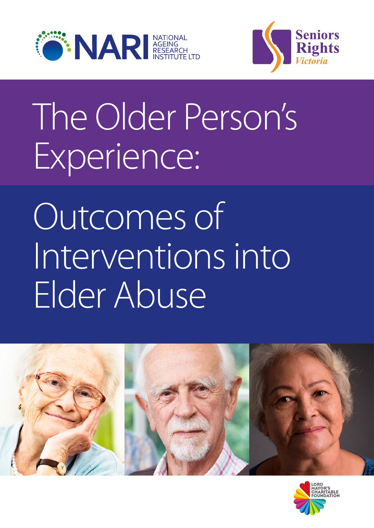



# The Older Person's Experience:

# Outcomes of Interventions into Elder Abuse



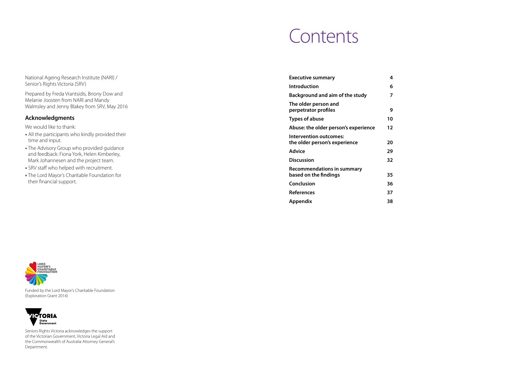## Contents

| <b>Executive summary</b>                                       | 4<br>6              |
|----------------------------------------------------------------|---------------------|
| Background and aim of the study<br>The older person and        | 7                   |
| perpetrator profiles<br><b>Types of abuse</b>                  | 9<br>10             |
| Abuse: the older person's experience                           | 12                  |
| <b>Intervention outcomes:</b><br>the older person's experience | 20                  |
| <b>Advice</b>                                                  | 29                  |
| <b>Discussion</b>                                              | 32                  |
| <b>Recommendations in summary</b><br>based on the findings     | 35                  |
| Conclusion                                                     | 36                  |
| <b>References</b>                                              | 37                  |
| Appendix                                                       | 38                  |
|                                                                | <b>Introduction</b> |



Funded by the Lord Mayor's Charitable Foundation (Exploration Grant 2014)



Seniors Rights Victoria acknowledges the support of the Victorian Government, Victoria Legal Aid and the Commonwealth of Australia Attorney General's Department.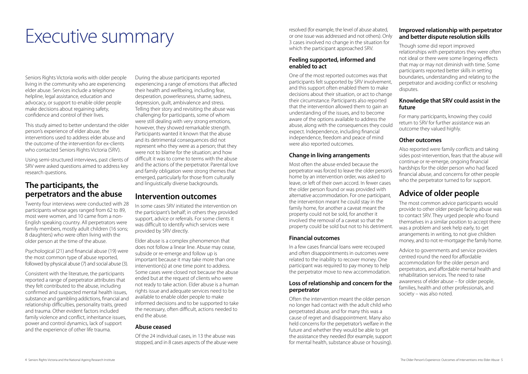# FINECUTIVE SUMMARY<br>
EXECUTIVE SUMMARY<br>
S cases involved no change in the situation for

Seniors Rights Victoria works with older people living in the community who are experiencing elder abuse. Services include a telephone helpline, legal assistance, education and advocacy, or support to enable older people make decisions about regaining safety, confidence and control of their lives.

This study aimed to better understand the older person's experience of elder abuse, the interventions used to address elder abuse and the outcome of the intervention for ex-clients who contacted Seniors Rights Victoria (SRV).

Using semi-structured interviews, past clients of SRV were asked questions aimed to address key research questions.

## **The participants, the perpetrators and the abuse**

Twenty four interviews were conducted with 28 participants whose ages ranged from 62 to 89, most were women, and 10 came from a non-English speaking country. All perpetrators were family members, mostly adult children (16 sons; 8 daughters) who were often living with the older person at the time of the abuse.

Psychological (21) and financial abuse (19) were the most common type of abuse reported, followed by physical abuse (7) and social abuse (3).

Consistent with the literature, the participants reported a range of perpetrator attributes that they felt contributed to the abuse, including confirmed and suspected mental health issues, substance and gambling addictions, financial and relationship difficulties, personality traits, greed and trauma. Other evident factors included family violence and conflict, inheritance issues, power and control dynamics, lack of support and the experience of other life trauma.

During the abuse participants reported experiencing a range of emotions that affected their health and wellbeing, including fear, desperation, powerlessness, shame, sadness, depression, guilt, ambivalence and stress. Telling their story and revisiting the abuse was challenging for participants, some of whom were still dealing with very strong emotions, however, they showed remarkable strength. Participants wanted it known that the abuse and its detrimental consequences did not represent who they were as a person; that they were not to blame for the situation; and how difficult it was to come to terms with the abuse and the actions of the perpetrator. Parental love and family obligation were strong themes that emerged, particularly for those from culturally and linguistically diverse backgrounds.

## **Intervention outcomes**

In some cases SRV initiated the intervention on the participant's behalf; in others they provided support, advice or referrals. For some clients it was difficult to identify which services were provided by SRV directly.

Elder abuse is a complex phenomenon that does not follow a linear line. Abuse may cease, subside or re-emerge and follow up is important because it may take more than one intervention(s) at one time point to address. Some cases were closed not because the abuse ended but at the request of clients who were not ready to take action. Elder abuse is a human rights issue and adequate services need to be available to enable older people to make informed decisions and to be supported to take the necessary, often difficult, actions needed to end the abuse.

#### **Abuse ceased**

Of the 24 individual cases, in 13 the abuse was stopped, and in 8 cases aspects of the abuse were or one issue was addressed and not others). Only 3 cases involved no change in the situation for which the participant approached SRV.

#### **Feeling supported, informed and enabled to act**

One of the most reported outcomes was that participants felt supported by SRV involvement, and this support often enabled them to make decisions about their situation, or act to change their circumstance. Participants also reported that the intervention allowed them to gain an understanding of the issues, and to become aware of the options available to address the abuse, along with the consequences they could expect. Independence, including financial independence, freedom and peace of mind were also reported outcomes.

#### **Change in living arrangements**

Most often the abuse ended because the perpetrator was forced to leave the older person's home by an intervention order, was asked to leave, or left of their own accord. In fewer cases the older person found or was provided with alternative accommodation. For one participant, the intervention meant he could stay in the family home, for another a caveat meant the property could not be sold, for another it involved the removal of a caveat so that the property could be sold but not to his detriment.

#### **Financial outcomes**

In a few cases financial loans were recouped and often disappointments in outcomes were related to the inability to recover money. One participant was required to pay money to help the perpetrator move to new accommodation.

#### **Loss of relationship and concern for the perpetrator**

Often the intervention meant the older person no longer had contact with the adult child who perpetrated abuse, and for many this was a cause of regret and disappointment. Many also held concerns for the perpetrator's welfare in the future and whether they would be able to get the assistance they needed (for example, support for mental health, substance abuse or housing).

#### **Improved relationship with perpetrator and better dispute resolution skills**

Though some did report improved relationships with perpetrators they were often not ideal or there were some lingering effects that may or may not diminish with time. Some participants reported better skills in setting boundaries, understanding and relating to the perpetrator and avoiding conflict or resolving disputes.

#### **Knowledge that SRV could assist in the future**

For many participants, knowing they could return to SRV for further assistance was an outcome they valued highly.

#### **Other outcomes**

Also reported were family conflicts and taking sides post-intervention, fears that the abuse will continue or re-emerge, ongoing financial hardships for the older person who had faced financial abuse, and concerns for other people who the perpetrator turned to for support.

## **Advice of older people**

The most common advice participants would provide to other older people facing abuse was to contact SRV. They urged people who found themselves in a similar position to accept there was a problem and seek help early, to get arrangements in writing, to not give children money, and to not re-mortgage the family home.

Advice to governments and service providers centred round the need for affordable accommodation for the older person and perpetrators, and affordable mental health and rehabilitation services. The need to raise awareness of elder abuse – for older people, families, health and other professionals, and society – was also noted.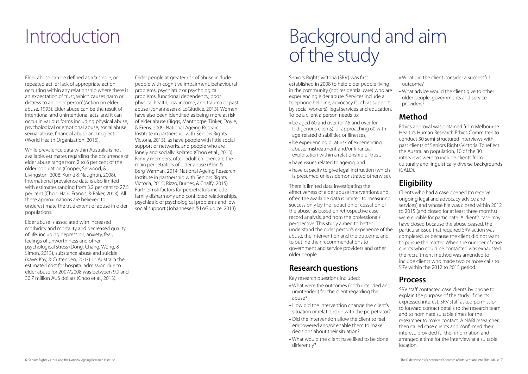## Introduction Background and aim of the study

Elder abuse can be defined as a 'a single, or repeated act, or lack of appropriate action, occurring within any relationship where there is an expectation of trust, which causes harm or distress to an older person' (Action on elder abuse, 1993). Elder abuse can be the result of intentional and unintentional acts, and it can occur in various forms including physical abuse, psychological or emotional abuse, social abuse, sexual abuse, financial abuse and neglect (World Health Organization, 2016).

While prevalence data within Australia is not available, estimates regarding the occurrence of elder abuse range from 2 to 6 per cent of the older population (Cooper, Selwood, & Livingston, 2008; Kurrle & Naughtin, 2008). International prevalence data is also limited with estimates ranging from 3.2 per cent to 27.5 per cent (Choo, Hairi, Francis, & Baker, 2013). All these approximations are believed to underestimate the true extent of abuse in older populations.

Elder abuse is associated with increased morbidity and mortality and decreased quality of life, including depression, anxiety, fear, feelings of unworthiness and other psychological stress (Dong, Chang, Wong, & Simon, 2013), substance abuse and suicide (Kaye, Kay, & Crittenden, 2007). In Australia the estimated cost for hospital admission due to elder abuse for 2007/2008 was between 9.9 and 30.7 million AUS dollars (Choo et al., 2013).

Older people at greater risk of abuse include: people with cognitive impairment, behavioural problems, psychiatric or psychological problems, functional dependency, poor physical health, low income, and trauma or past abuse (Johannesen & LoGiudice, 2013). Women have also been identified as being more at risk of elder abuse (Biggs, Manthorpe, Tinker, Doyle, & Erens, 2009; National Ageing Research Institute in partnership with Seniors Rights Victoria, 2015), as have people with little social support or networks, and people who are lonely and socially isolated (Choo et al., 2013). Family members, often adult children, are the main perpetrators of elder abuse (Alon & Berg-Warman, 2014; National Ageing Research Institute in partnership with Seniors Rights Victoria, 2015; Rizzo, Burnes, & Chalfy, 2015). Further risk factors for perpetrators include family disharmony and conflicted relationships, psychiatric or psychological problems and low social support (Johannesen & LoGiudice, 2013).

Ethics approval was obtained from Melbourne Health's Human Research Ethics Committee to conduct 30 semi-structured interviews with past clients of Seniors Rights Victoria. To reflect the Australian population, 10 of the 30 interviews were to include clients from culturally and linguistically diverse backgrounds  $(CAID)$ .

Seniors Rights Victoria (SRV) was first established in 2008 to help older people living in the community (not residential care) who are experiencing elder abuse. Services include a telephone helpline, advocacy (such as support by social workers), legal services and education. To be a client a person needs to:

- be aged 60 and over (or 45 and over for Indigenous clients), or approaching 60 with age-related disabilities or illnesses,
- be experiencing or at risk of experiencing abuse, mistreatment and/or financial exploitation within a relationship of trust,
- have issues related to ageing, and
- have capacity to give legal instruction (which is presumed unless demonstrated otherwise).

There is limited data investigating the effectiveness of elder abuse interventions and often the available data is limited to measuring success only by the reduction or cessation of the abuse, as based on retrospective case record analysis, and from the professionals' perspective. This study aimed to better understand the older person's experience of the abuse, the intervention and the outcome, and to outline their recommendations to government and service providers and other older people.

## **Research questions**

Key research questions included:

- What were the outcomes (both intended and unintended) for the client regarding the abuse?
- How did the intervention change the client's situation or relationship with the perpetrator?
- Did the intervention allow the client to feel empowered and/or enable them to make decisions about their situation?
- What would the client have liked to be done differently?
- What did the client consider a successful outcome?
- What advice would the client give to other older people, governments and service providers?

## **Method**

## **Eligibility**

Clients who had a case opened (to receive ongoing legal and advocacy advice and services) and whose file was closed within 2012 to 2015 (and closed for at least three months) were eligible for participate. A client's case may have closed because the abuse ceased, the particular issue that required SRV action was completed, or because the client did not want to pursue the matter. When the number of case clients who could be contacted was exhausted, the recruitment method was amended to include clients who made two or more calls to SRV within the 2012 to 2015 period.

## **Process**

SRV staff contacted case clients by phone to explain the purpose of the study. If clients expressed interest, SRV staff asked permission to forward contact details to the research team and to nominate suitable times for the researcher to make contact. A NARI researcher then called case clients and confirmed their interest, provided further information and arranged a time for the interview at a suitable location.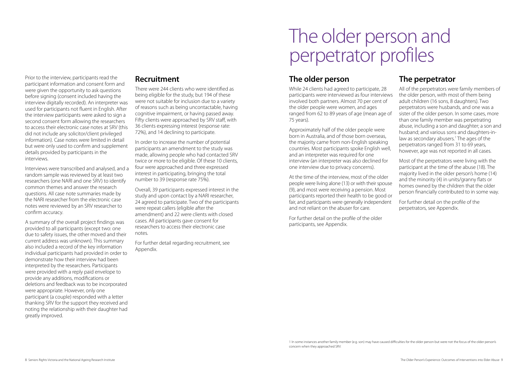Prior to the interview, participants read the participant information and consent form and were given the opportunity to ask questions before signing (consent included having the interview digitally recorded). An interpreter was used for participants not fluent in English. After the interview participants were asked to sign a second consent form allowing the researchers to access their electronic case notes at SRV (this did not include any solicitor/client privileged information). Case notes were limited in detail but were only used to confirm and supplement details provided by participants in the interviews.

Interviews were transcribed and analysed, and a random sample was reviewed by at least two researchers (one NARI and one SRV) to identify common themes and answer the research questions. All case note summaries made by the NARI researcher from the electronic case notes were reviewed by an SRV researcher to confirm accuracy.

A summary of the overall project findings was provided to all participants (except two: one due to safety issues, the other moved and their current address was unknown). This summary also included a record of the key information individual participants had provided in order to demonstrate how their interview had been interpreted by the researchers. Participants were provided with a reply paid envelope to provide any additions, modifications or deletions and feedback was to be incorporated were appropriate. However, only one participant (a couple) responded with a letter thanking SRV for the support they received and noting the relationship with their daughter had greatly improved.

### **Recruitment**

There were 244 clients who were identified as being eligible for the study, but 194 of these were not suitable for inclusion due to a variety of reasons such as being uncontactable, having cognitive impairment, or having passed away. Fifty clients were approached by SRV staff, with 36 clients expressing interest (response rate: 72%), and 14 declining to participate.

In order to increase the number of potential participants an amendment to the study was made, allowing people who had contacted SRV twice or more to be eligible. Of these 10 clients, four were approached and three expressed interest in participating, bringing the total number to 39 (response rate 75%).

Overall, 39 participants expressed interest in the study and upon contact by a NARI researcher, 24 agreed to participate. Two of the participants were repeat callers (eligible after the amendment) and 22 were clients with closed cases. All participants gave consent for researchers to access their electronic case notes.

For further detail regarding recruitment, see Appendix.

## The older person and perpetrator profiles

## **The older person**

While 24 clients had agreed to participate, 28 participants were interviewed as four interviews involved both partners. Almost 70 per cent of the older people were women, and ages ranged from 62 to 89 years of age (mean age of 75 years).

Approximately half of the older people were born in Australia, and of those born overseas, the majority came from non-English speaking countries. Most participants spoke English well, and an interpreter was required for one interview (an interpreter was also declined for one interview due to privacy concerns).

At the time of the interview, most of the older people were living alone (13) or with their spouse (9), and most were receiving a pension. Most participants reported their health to be good or fair, and participants were generally independent and not reliant on the abuser for care.

For further detail on the profile of the older participants, see Appendix.

## **The perpetrator**

All of the perpetrators were family members of the older person, with most of them being adult children (16 sons, 8 daughters). Two perpetrators were husbands, and one was a sister of the older person. In some cases, more than one family member was perpetrating abuse, including a son and daughter; a son and husband; and various sons and daughters-inlaw as secondary abusers.<sup>1</sup> The ages of the perpetrators ranged from 31 to 69 years, however, age was not reported in all cases.

Most of the perpetrators were living with the participant at the time of the abuse (18). The majority lived in the older person's home (14) and the minority (4) in units/granny flats or homes owned by the children that the older person financially contributed to in some way.

For further detail on the profile of the perpetrators, see Appendix.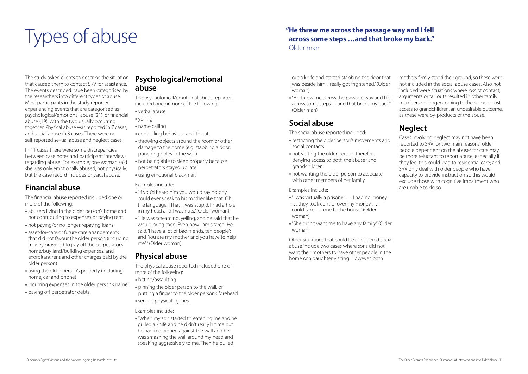# Types of abuse

The study asked clients to describe the situation that caused them to contact SRV for assistance. The events described have been categorised by the researchers into different types of abuse. Most participants in the study reported experiencing events that are categorised as psychological/emotional abuse (21), or financial abuse (19), with the two usually occurring together. Physical abuse was reported in 7 cases, and social abuse in 3 cases. There were no self-reported sexual abuse and neglect cases.

In 11 cases there were some discrepancies between case notes and participant interviews regarding abuse. For example, one woman said she was only emotionally abused, not physically, but the case record includes physical abuse.

## **Financial abuse**

The financial abuse reported included one or more of the following:

- •"If you'd heard him you would say no boy could ever speak to his mother like that. Oh, the language. [That] I was stupid, I had a hole in my head and I was nuts." (Older woman)
- •"He was screaming, yelling, and he said that he would bring men. Even now I am scared. He said, 'I have a lot of bad friends, ten people'; and 'You are my mother and you have to help me.'" (Older woman)
- abusers living in the older person's home and not contributing to expenses or paying rent
- not paying/or no longer repaying loans
- asset-for-care or future care arrangements that did not favour the older person (including money provided to pay off the perpetrator's home/buy land/building expenses, and exorbitant rent and other charges paid by the older person)
- using the older person's property (including home, car and phone)
- incurring expenses in the older person's name
- paying off perpetrator debts.

## **Psychological/emotional abuse**

The psychological/emotional abuse reported included one or more of the following:

- verbal abuse
- yelling
- name calling
- controlling behaviour and threats
- throwing objects around the room or other damage to the home (e.g. stabbing a door, punching holes in the wall)
- not being able to sleep properly because perpetrators stayed up late
- using emotional blackmail.

Examples include:

## **Physical abuse**

The physical abuse reported included one or more of the following:

- hitting/assaulting
- pinning the older person to the wall, or putting a finger to the older person's forehead
- serious physical injuries.

Examples include:

•"When my son started threatening me and he pulled a knife and he didn't really hit me but he had me pinned against the wall and he was smashing the wall around my head and speaking aggressively to me. Then he pulled

out a knife and started stabbing the door that was beside him. I really got frightened." (Older woman)

•"He threw me across the passage way and I fell across some steps …and that broke my back." (Older man)

## **Social abuse**

The social abuse reported included:

- restricting the older person's movements and social contacts
- not visiting the older person, therefore denying access to both the abuser and grandchildren
- not wanting the older person to associate with other members of her family.

Examples include:

- •"I was virtually a prisoner … I had no money … they took control over my money … I could take no-one to the house." (Older woman)
- •"She didn't want me to have any family." (Older woman)

Other situations that could be considered social abuse include two cases where sons did not want their mothers to have other people in the home or a daughter visiting. However, both

mothers firmly stood their ground, so these were not included in the social abuse cases. Also not included were situations where loss of contact, arguments or fall outs resulted in other family members no longer coming to the home or lost access to grandchildren, an undesirable outcome, as these were by-products of the abuse.

## **Neglect**

Cases involving neglect may not have been reported to SRV for two main reasons: older people dependent on the abuser for care may be more reluctant to report abuse, especially if they feel this could lead to residential care; and SRV only deal with older people who have capacity to provide instruction so this would exclude those with cognitive impairment who are unable to do so.

### **"He threw me across the passage way and I fell across some steps …and that broke my back."** Older man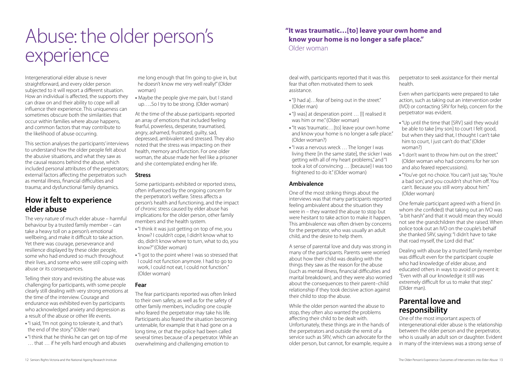# Abuse: the older person's experience

Intergenerational elder abuse is never straightforward, and every older person subjected to it will report a different situation. How an individual is affected, the supports they can draw on and their ability to cope will all influence their experience. This uniqueness can sometimes obscure both the similarities that occur within families where abuse happens, and common factors that may contribute to the likelihood of abuse occurring.

This section analyses the participants' interviews to understand how the older people felt about the abusive situations, and what they saw as the causal reasons behind the abuse, which included personal attributes of the perpetrators; external factors affecting the perpetrators such as mental illness, financial difficulties and trauma; and dysfunctional family dynamics.

## **How it felt to experience elder abuse**

The very nature of much elder abuse – harmful behaviour by a trusted family member – can take a heavy toll on a person's emotional wellbeing, and make it difficult to take action. Yet there was courage, perseverance and resilience displayed by these older people, some who had endured so much throughout their lives, and some who were still coping with abuse or its consequences.

Telling their story and revisiting the abuse was challenging for participants, with some people clearly still dealing with very strong emotions at the time of the interview. Courage and endurance was exhibited even by participants who acknowledged anxiety and depression as a result of the abuse or other life events.

- •"I said, 'I'm not going to tolerate it, and that's the end of the story.'" (Older man)
- •"I think that he thinks he can get on top of me … that … if he yells hard enough and abuses

me long enough that I'm going to give in, but he doesn't know me very well really!" (Older woman)

• Maybe the people give me pain, but I stand up…..So I try to be strong. (Older woman)

At the time of the abuse participants reported an array of emotions that included feeling fearful, powerless, desperate, traumatised, angry, ashamed, frustrated, guilty, sad, depressed, ambivalent and stressed. They also noted that the stress was impacting on their health, memory and function. For one older woman, the abuse made her feel like a prisoner and she contemplated ending her life.

#### **Stress**

Some participants exhibited or reported stress, often influenced by the ongoing concern for the perpetrator's welfare. Stress affects a person's health and functioning, and the impact of chronic stress caused by elder abuse has implications for the older person, other family members and the health system.

- •"I think it was just getting on top of me, you know? I couldn't cope, I didn't know what to do, didn't know where to turn, what to do, you know?" (Older woman)
- •"I got to the point where I was so stressed that I could not function anymore. I had to go to work, I could not eat, I could not function." (Older woman)

#### **Fear**

The fear participants reported was often linked to their own safety, as well as for the safety of other family members, including one couple who feared the perpetrator may take his life. Participants also feared the situation becoming untenable, for example that it had gone on a long time, or that the police had been called several times because of a perpetrator. While an overwhelming and challenging emotion to

deal with, participants reported that it was this fear that often motivated them to seek assistance.

#### **Ambivalence**

One of the most striking things about the interviews was that many participants reported feeling ambivalent about the situation they were in – they wanted the abuse to stop but were hesitant to take action to make it happen. This ambivalence was often driven by concerns for the perpetrator, who was usually an adult child, and the desire to help them.

A sense of parental love and duty was strong in many of the participants. Parents were worried about how their child was dealing with the things they saw as the reason for the abuse (such as mental illness, financial difficulties and marital breakdown), and they were also worried about the consequences to their parent–child relationship if they took decisive action against their child to stop the abuse.

- •"[I had a]…fear of being out in the street." (Older man)
- •"[I was] at desperation point … [I] realised it was him or me" (Older woman)
- •"It was 'traumatic…[to] leave your own home and know your home is no longer a safe place." (Older woman?)
- •"I was a nervous wreck … The longer I was living there [in the same state], the sicker I was getting with all of my heart problems," and "I took a lot of convincing … [because] I was too frightened to do it." (Older woman) woman?) •"I don't want to throw him out on the street." (Older woman who had concerns for her son and also feared repercussions).

While the older person wanted the abuse to stop, they often also wanted the problems affecting their child to be dealt with. Unfortunately, these things are in the hands of the perpetrators and outside the remit of a service such as SRV, which can advocate for the older person, but cannot, for example, require a perpetrator to seek assistance for their mental health.

Even when participants were prepared to take action, such as taking out an intervention order (IVO) or contacting SRV for help, concern for the perpetrator was evident.

- •"Up until the time that [SRV] said they would be able to take [my son] to court I felt good, but when they said that, I thought I can't take him to court, I just can't do that." (Older
- •"You've got no choice. You can't just say, 'You're a bad son,' and you couldn't shut him off. You can't. Because you still worry about him." (Older woman)

One female participant agreed with a friend (in whom she confided) that taking out an IVO was "a bit harsh" and that it would mean they would not see the grandchildren that she raised. When police took out an IVO on the couple's behalf she thanked SRV, saying: "I didn't have to take that road myself, the Lord did that."

Dealing with abuse by a trusted family member was difficult even for the participant couple who had knowledge of elder abuse, and educated others in ways to avoid or prevent it: "Even with all our knowledge it still was extremely difficult for us to make that step." (Older man).

## **Parental love and responsibility**

One of the most important aspects of intergenerational elder abuse is the relationship between the older person and the perpetrator, who is usually an adult son or daughter. Evident in many of the interviews was a strong sense of

### **"It was traumatic…[to] leave your own home and know your home is no longer a safe place."** Older woman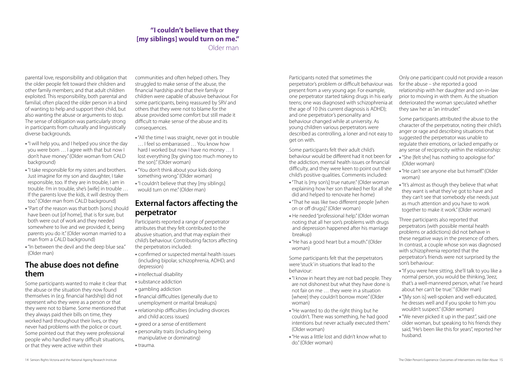parental love, responsibility and obligation that the older people felt toward their children and other family members; and that adult children exploited. This responsibility, both parental and familial, often placed the older person in a bind of wanting to help and support their child, but also wanting the abuse or arguments to stop. The sense of obligation was particularly strong in participants from culturally and linguistically diverse backgrounds.

- •"I will help you, and I helped you since the day you were born … I agree with that but now I don't have money." (Older woman from CALD background)
- •"I take responsible for my sisters and brothers. Just imagine for my son and daughter, I take responsible, too. If they are in trouble, I am in trouble. I'm in trouble, she's [wife] in trouble … If the parents love the kids, it will destroy them too." (Older man from CALD background)
- •"Part of the reason was that both [sons] should have been out [of home], that is for sure, but both were out of work and they needed somewhere to live and we provided it, being parents you do it." (Older woman married to a man from a CALD background)
- •"In between the devil and the deep blue sea." (Older man)

## **The abuse does not define them**

Some participants wanted to make it clear that the abuse or the situation they now found themselves in (e.g. financial hardship) did not represent who they were as a person or that they were not to blame. Some mentioned that they always paid their bills on time, they worked hard throughout their lives, or they never had problems with the police or court. Some pointed out that they were professional people who handled many difficult situations, or that they were active within their

communities and often helped others. They struggled to make sense of the abuse, the financial hardship and that their family or children were capable of abusive behaviour. For some participants, being reassured by SRV and others that they were not to blame for the abuse provided some comfort but still made it difficult to make sense of the abuse and its consequences.

- •"All the time I was straight, never got in trouble
- … I feel so embarrassed … You know how hard I worked but now I have no money … I lost everything [by giving too much money to the son]." (Older woman)
- •"You don't think about your kids doing something wrong." (Older woman)
- •"I couldn't believe that they [my siblings] would turn on me." (Older man)

## **External factors affecting the perpetrator**

Participants reported a range of perpetrator attributes that they felt contributed to the abusive situation, and that may explain their child's behaviour. Contributing factors affecting the perpetrators included:

- confirmed or suspected mental health issues (including bipolar, schizophrenia, ADHD, and depression)
- intellectual disability
- substance addiction
- gambling addiction
- financial difficulties (generally due to unemployment or marital breakups)
- relationship difficulties (including divorces and child access issues)
- greed or a sense of entitlement
- personality traits (including being manipulative or dominating)
- trauma.

behaviour would be different had it not been for the addiction, mental health issues or financial difficulty, and they were keen to point out their child's positive qualities. Comments included:

- •"That is [my son's] true nature." (Older woman explaining how her son thanked her for all she did and helped to renovate her home)
- •"That he was like two different people [when on or off drugs]." (Older woman)
- He needed "professional help." (Older woman noting that all her son's problems with drugs and depression happened after his marriage breakup)
- •"He has a good heart but a mouth." (Older woman)

Participants noted that sometimes the perpetrator's problem or difficult behaviour was present from a very young age. For example, one perpetrator started taking drugs in his early teens; one was diagnosed with schizophrenia at the age of 10 (his current diagnosis is ADHD); and one perpetrator's personality and behaviour changed while at university. As young children various perpetrators were described as controlling, a loner and not easy to get on with. Some participants felt their adult child's Only one participant could not provide a reason for the abuse – she reported a good relationship with her daughter and son-in-law prior to moving in with them. As the situation deteriorated the woman speculated whether they saw her as "an intruder." Some participants attributed the abuse to the character of the perpetrator, noting their child's anger or rage and describing situations that suggested the perpetrator was unable to regulate their emotions, or lacked empathy or any sense of reciprocity within the relationship:

Some participants felt that the perpetrators were 'stuck' in situations that lead to the behaviour:

- •"I know in heart they are not bad people. They are not dishonest but what they have done is not fair on me … they were in a situation [where] they couldn't borrow more." (Older woman)
- •"He wanted to do the right thing but he couldn't. There was something, he had good intentions but never actually executed them." (Older woman)
- •"He was a little lost and didn't know what to do." (Older woman)
- •"She [felt she] has nothing to apologise for." (Older woman)
- •"He can't see anyone else but himself." (Older woman)
- •"It's almost as though they believe that what they want is what they've got to have and they can't see that somebody else needs just as much attention and you have to work together to make it work." (Older woman)

Three participants also reported that perpetrators (with possible mental health problems or addictions) did not behave in these negative ways in the presence of others. In contrast, a couple whose son was diagnosed with schizophrenia reported that the perpetrator's friends were not surprised by the son's behaviour:

- •"If you were here sitting, she'll talk to you like a normal person, you would be thinking, 'Jeez, that's a well-mannered person, what I've heard about her can't be true.'" (Older man)
- •"[My son is] well-spoken and well-educated, he dresses well and if you spoke to him you wouldn't suspect." (Older woman)
- •"We never picked it up in the past", said one older woman, but speaking to his friends they said, "He's been like this for years", reported her husband.

## **"I couldn't believe that they [my siblings] would turn on me."**

Older man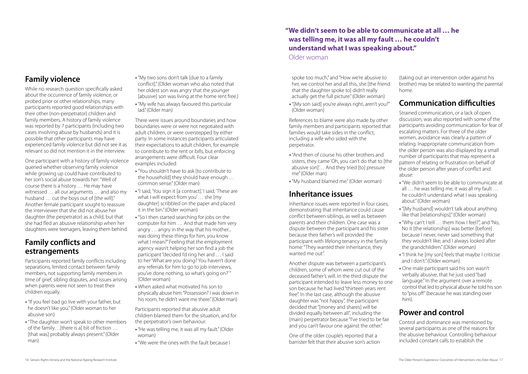## **Family violence**

While no research question specifically asked about the occurrence of family violence, or probed prior or other relationships, many participants reported good relationships with their other (non-perpetrator) children and family members. A history of family violence was reported by 7 participants (including two cases involving abuse by husbands) and it is possible that other participants may have experienced family violence but did not see it as relevant so did not mention it in the interview.

One participant with a history of family violence queried whether observing family violence while growing up could have contributed to her son's social abuse towards her: "Well of course there is a history … He may have witnessed … all our arguments … and also my husband ... cut the boys out of [the will]." Another female participant sought to reassure the interviewer that she did not abuse her daughter (the perpetrator) as a child, but that she had fled an abusive relationship when her daughters were teenagers, leaving them behind.

## **Family conflicts and estrangements**

- •"You shouldn't have to ask [to contribute to the household] they should have enough … common sense." (Older man)
- •"I said, 'You sign it [a contract].' I said, 'These are what I will expect from you' … she [my daughter] scribbled on the paper and placed it in the bin." (Older woman)
- •"So I then started searching for jobs on the computer for him … And that made him very angry … angry in the way that his mother... was doing these things for him, you know what I mean?" Feeling that the employment agency wasn't helping her son find a job the participant "decided I'd ring her and … I said to her 'What are you doing? You haven't done any referrals for him to go to job interviews, you've done nothing, so what's going on?'" (Older woman)
- When asked what motivated his son to physically abuse him: "Possession? I was down in his room, he didn't want me there." (Older man)

Participants reported family conflicts including separations, limited contact between family members, not supporting family members in time of grief, sibling disputes, and issues arising when parents were not seen to treat their children equally.

- •"If you feel bad go live with your father, but he doesn't like you." (Older woman to her abusive son)
- •"The daughter won't speak to other members of the family…[there is a] bit of friction … [that was] probably always present." (Older man)
- •"My two sons don't talk [due to a family conflict]." (Older woman who also noted that her oldest son was angry that the younger [abusive] son was living at the home rent free.)
- •"My wife has always favoured this particular lad." (Older man)

There were issues around boundaries and how boundaries were or were not negotiated with adult children, or were overstepped by either party. In some instances participants articulated their expectations to adult children, for example to contribute to the rent or bills, but enforcing arrangements were difficult. Four clear examples included:

Participants reported that abusive adult children blamed them for the situation, and for the perpetrator's own behaviour.

- •"He was telling me, it was all my fault." (Older woman)
- •"We were the ones with the fault because I

spoke too much," and "How we're abusive to her, we control her and all this, she [the friend that the daughter spoke to] didn't really actually get the full picture." (Older woman)

•"[My son said] you're always right, aren't you?" (Older woman)

References to blame were also made by other family members and participants reported that families would take sides in the conflict, including a wife who sided with the perpetrator.

- •"And then of course his other brothers and sisters, they came 'Oh, you can't do that to [the abusive son]'… And they tried [to] pressure me" (Older man)
- "My husband blamed me." (Older woman)

## **Inheritance issues**

Inheritance issues were reported in four cases, demonstrating that inheritance could cause conflict between siblings, as well as between parents and their children. One case was a dispute between the participant and his sister because their father's will provided the participant with lifelong tenancy in the family home: "They wanted their inheritance, they wanted me out".

Another dispute was between a participant's children, some of whom were cut out of the deceased father's will. In the third dispute the participant intended to leave less money to one son because he had lived "thirteen years rent free". In the last case, although the abusive daughter was "not happy", the participant decided that "[money and shares] will be divided equally between all", including the (main) perpetrator because "I've tried to be fair and you can't favour one against the other."

One of the older couple's reported that a barrister felt that their abusive son's action

(taking out an intervention order against his brother) may be related to wanting the parental home.

## **Communication difficulties**

Strained communication, or a lack of open discussion, was also reported with some of the participants avoiding communication for fear of escalating matters. For three of the older women, avoidance was clearly a pattern of relating. Inappropriate communication from the older person was also displayed by a small number of participants that may represent a pattern of relating or frustration on behalf of the older person after years of conflict and abuse:

- •"We didn't seem to be able to communicate at all … he was telling me, it was all my fault … he couldn't understand what I was speaking about." (Older woman)
- •"[My husband] wouldn't talk about anything like that [relationships]." (Older woman)
- •"Why can't I tell … them how I feel?", and "No, No it [the relationship] was better [before] because I never, never said something that they wouldn't like; and I always looked after the grandchildren." (Older woman)
- •"I think he [my son] feels that maybe I criticise and I don't." (Older woman)
- One male participant said his son wasn't verbally abusive, that he just used "bad language." In the argument over a remote control that led to physical abuse he told his son to "piss off" (because he was standing over him).

## **Power and control**

Control and dominance was mentioned by several participants as one of the reasons for the abusive behaviour. Controlling behaviour included constant calls to establish the

### **"We didn't seem to be able to communicate at all … he was telling me, it was all my fault … he couldn't understand what I was speaking about."** Older woman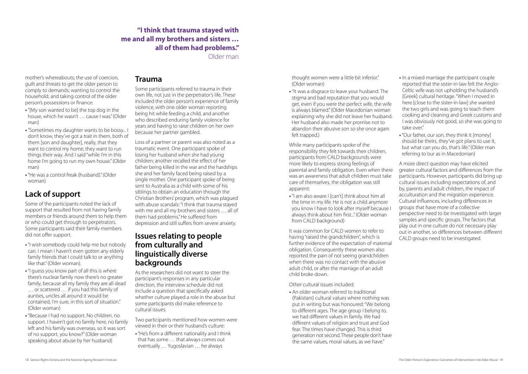mother's whereabouts; the use of coercion, guilt and threats to get the older person to comply to demands; wanting to control the household; and taking control of the older person's possessions or finance:

- •"[My son wanted to be] the top dog in the house, which he wasn't … cause I was." (Older man)
- "Sometimes my daughter wants to be bossy... don't know, they've got a trait in them, both of them [son and daughter], really, that they want to control my home, they want to run things their way. And I said "while I'm in this home I'm going to run my own house." (Older man)
- •"He was a control freak (husband)." (Older woman)

## **Lack of support**

Some of the participants noted the lack of support that resulted from not having family members or friends around them to help them or who could get through to perpetrators. Some participants said their family members did not offer support.

- •"I wish somebody could help me but nobody can. I mean I haven't even gotten any elderly family friends that I could talk to or anything like that." (Older woman).
- •"I guess you know part of all this is where there's nuclear family now there's no greater family, because all my family they are all dead … or scattered … if you had this family of aunties, uncles all around it would be contained, I'm sure, in this sort of situation." (Older woman)
- •"Because I had no support. No children, no support. I haven't got no family here, no family left and his family was overseas, so it was sort of no support, you know?" (Older woman speaking about abuse by her husband)

### **Trauma**

Some participants referred to trauma in their own life, not just in the perpetrator's life. These included the older person's experience of family violence, with one older woman reporting being hit while feeding a child, and another who described enduring family violence for years and having to raise children on her own because her partner gambled.

Loss of a partner or parent was also noted as a traumatic event. One participant spoke of losing her husband when she had young children; another recalled the effect of her father being killed in the war and the hardships she and her family faced being raised by a single mother. One participant spoke of being sent to Australia as a child with some of his siblings to obtain an education through the Christian Brothers' program, which was plagued with abuse scandals: "I think that trauma stayed with me and all my brothers and sisters … all of them had problems." He suffered from depression and still suffers from severe anxiety.

### **Issues relating to people from culturally and linguistically diverse backgrounds**

As the researchers did not want to steer the participant's responses in any particular direction, the interview schedule did not include a question that specifically asked whether culture played a role in the abuse but some participants did make reference to cultural issues.

Two participants mentioned how women were viewed in their or their husband's culture:

•"He's from a different nationality and I think that has some … that always comes out eventually … Yugoslavian … he always

thought women were a little bit inferior." (Older woman)

•"It was a disgrace to leave your husband. The stigma and bad reputation that you would get, even if you were the perfect wife, the wife is always blamed." (Older Macedonian woman explaining why she did not leave her husband. Her husband also made her promise not to abandon their abusive son so she once again felt trapped.)

While many participants spoke of the responsibility they felt towards their children, participants from CALD backgrounds were more likely to express strong feelings of parental and family obligation. Even when there was an awareness that adult children must take care of themselves, the obligation was still apparent:

•"I am also aware I [can't] think about him all the time in my life. He is not a child anymore you know I have to look after myself because I always think about him first..." (Older woman from CALD background)

It was common for CALD women to refer to having "raised the grandchildren", which is further evidence of the expectation of maternal obligation. Consequently these women also reported the pain of not seeing grandchildren when there was no contact with the abusive adult child, or after the marriage of an adult child broke down.

Other cultural issues included:

• An older woman referred to traditional (Pakistani) cultural values where nothing was put in writing but was honoured: "We belong to different ages. The age group I belong to, we had different values in family. We had different values of religion and trust and God fear. The times have changed. This is third generation not second. These people don't have the same values, moral values, as we have."

- In a mixed marriage the participant couple reported that the sister-in-law felt the Anglo-Celtic wife was not upholding the husband's [Greek] cultural heritage. "When I moved in here [close to the sister-in-law] she wanted the two girls and was going to teach them cooking and cleaning and Greek customs and I was obviously not good, so she was going to take over."
- •"Our father, our son, they think it [money] should be theirs, they've got plans to use it, but what can you do, that's life." (Older man referring to 'our as in Macedonian)

A more direct question may have elicited greater cultural factors and differences from the participants. However, participants did bring up cultural issues including expectations of, and by, parents and adult children, the impact of acculturation and the migration experience. Cultural influences, including differences in groups that have more of a collective perspective need to be investigated with larger samples and specific groups. The factors that play out in one culture do not necessary play out in another, so differences between different CALD groups need to be investigated.

### **"I think that trauma stayed with me and all my brothers and sisters … all of them had problems."**

Older man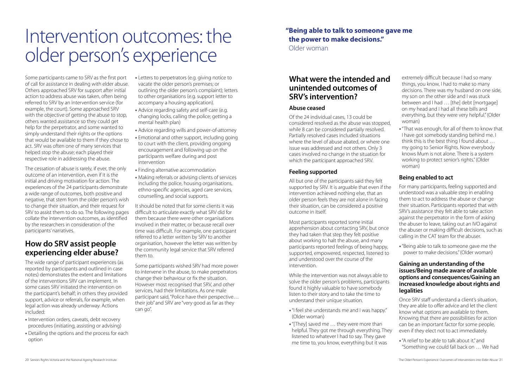## Intervention outcomes: the older person's experience

Some participants came to SRV as the first port of call for assistance in dealing with elder abuse. Others approached SRV for support after initial action to address abuse was taken, often being referred to SRV by an intervention service (for example, the court). Some approached SRV with the objective of getting the abuse to stop, others wanted assistance so they could get help for the perpetrator, and some wanted to simply understand their rights or the options that would be available to them if they chose to act. SRV was often one of many services that helped stop the abuse; each played their respective role in addressing the abuse.

The cessation of abuse is rarely, if ever, the only outcome of an intervention, even if it is the initial and driving motivation for action. The experiences of the 24 participants demonstrate a wide range of outcomes, both positive and negative, that stem from the older person's wish to change their situation, and their request for SRV to assist them to do so. The following pages collate the intervention outcomes, as identified by the researchers in consideration of the participants' narratives.

## **How do SRV assist people experiencing elder abuse?**

The wide range of participant experiences (as reported by participants and outlined in case notes) demonstrates the extent and limitations of the interventions SRV can implement. In some cases SRV initiated the intervention on the participant's behalf; in others they provided support, advice or referrals, for example, when legal action was already underway. Actions included:

- Intervention orders, caveats, debt recovery procedures (initiating, assisting or advising)
- Detailing the options and the process for each option
- Letters to perpetrators (e.g. giving notice to vacate the older person's premises; or outlining the older person's complaint); letters to other organisations (e.g. support letter to accompany a housing application).
- Advice regarding safety and self-care (e.g. changing locks, calling the police; getting a mental health plan)
- Advice regarding wills and power-of-attorney
- Emotional and other support, including going to court with the client, providing ongoing encouragement and following up on the participants welfare during and post intervention
- Finding alternative accommodation
- Making referrals or advising clients of services including the police, housing organisations, ethno-specific agencies, aged care services, counselling, and social supports.

It should be noted that for some clients it was difficult to articulate exactly what SRV did for them because there were other organisations involved in their matter, or because recall over time was difficult. For example, one participant referred to a letter written by SRV to another organisation, however the letter was written by the community legal service that SRV referred them to.

Some participants wished SRV had more power to intervene in the abuse, to make perpetrators change their behaviour or fix the situation. However most recognised that SRV, and other services, had their limitations. As one male participant said, "Police have their perspective… their job" and SRV are "very good as far as they can go".

## **What were the intended and unintended outcomes of SRV's intervention?**

#### **Abuse ceased**

Of the 24 individual cases, 13 could be considered resolved as the abuse was stopped, while 8 can be considered partially resolved. Partially resolved cases included situations where the level of abuse abated, or where one issue was addressed and not others. Only 3 cases involved no change in the situation for which the participant approached SRV.

#### **Feeling supported**

All but one of the participants said they felt supported by SRV. It is arguable that even if the intervention achieved nothing else, that an older person feels they are not alone in facing their situation, can be considered a positive outcome in itself.

Most participants reported some initial apprehension about contacting SRV, but once they had taken that step they felt positive about working to halt the abuse, and many participants reported feelings of being happy, supported, empowered, respected, listened to and understood over the course of the intervention.

While the intervention was not always able to solve the older person's problems, participants found it highly valuable to have somebody listen to their story and to take the time to understand their unique situation.

- •"I feel she understands me and I was happy." (Older woman)
- •"[They] saved me … they were more than helpful. They got me through everything. They listened to whatever I had to say. They gave me time to, you know, everything but it was

extremely difficult because I had so many things, you know, I had to make so many decisions. There was my husband on one side, my son on the other side and I was stuck between and I had … [the] debt [mortgage] on my head and I had all these bills and everything, but they were very helpful." (Older woman)

•"That was enough, for all of them to know that I have got somebody standing behind me. I think this is the best thing I found about … my going to Senior Rights. Now everybody knows Mum is not alone. There is a system working to protect senior's rights." (Older woman)

#### **Being enabled to act**

For many participants, feeling supported and understood was a valuable step in enabling them to act to address the abuse or change their situation. Participants reported that with SRV's assistance they felt able to take action against the perpetrator in the form of asking the abuser to leave, taking out an IVO against the abuser or making difficult decisions, such as calling in the CAT team for the abuser.

•"Being able to talk to someone gave me the power to make decisions." (Older woman)

#### **Gaining an understanding of the issues/Being made aware of available options and consequences/Gaining an increased knowledge about rights and legalities**

Once SRV staff understand a client's situation, they are able to offer advice and let the client know what options are available to them. Knowing that there are possibilities for action can be an important factor for some people, even if they elect not to act immediately.

•"A relief to be able to talk about it," and "Something we could fall back on … We had

## **"Being able to talk to someone gave me the power to make decisions."**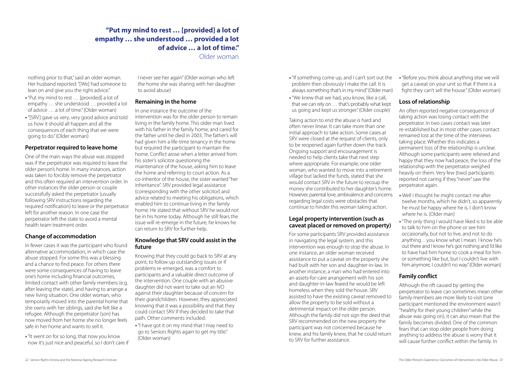nothing prior to that," said an older woman. Her husband reported: "[We] had someone to lean on and give you the right advice."

- •"Put my mind to rest … [provided] a lot of empathy … she understood … provided a lot of advice … a lot of time." (Older woman)
- •"[SRV] gave us very, very good advice and told us how it should all happen and all the consequences of each thing that we were going to do." (Older woman)

#### **Perpetrator required to leave home**

One of the main ways the abuse was stopped was if the perpetrator was required to leave the older person's home. In many instances, action was taken to forcibly remove the perpetrator and this often required an intervention order. In other instances the older person or couple successfully asked the perpetrator (usually following SRV instructions regarding the required notification) to leave or the perpetrator left for another reason. In one case the perpetrator left the state to avoid a mental health team treatment order.

#### **Change of accommodation**

In fewer cases it was the participant who found alternative accommodation, in which case the abuse stopped. For some this was a blessing and a chance to find peace. For others there were some consequences of having to leave one's home including financial outcomes, limited contact with other family members (e.g. after leaving the state), and having to arrange a new living situation. One older woman, who temporarily moved into the parental home that she owns with her siblings, said she felt like a refugee. Although the perpetrator (son) has now moved from her home she no longer feels safe in her home and wants to sell it.

•"It went on for so long, that now you know now it's just nice and peaceful, so I don't care if I never see her again" (Older woman who left the home she was sharing with her daughter to avoid abuse)

#### **Remaining in the home**

In one instance the outcome of the intervention was for the older person to remain living in the family home. This older man lived with his father in the family home, and cared for the father until he died in 2003. The father's will had given him a life-time tenancy in the home but required the participant to maintain the home. Conflict arose when a letter arrived from his sister's solicitor questioning the maintenance of the house, asking him to leave the home and referring to court action. As a co-inheritor of the house, the sister wanted "her inheritance". SRV provided legal assistance (corresponding with the other solicitor) and advice related to meeting his obligations, which enabled him to continue living in the family home. He stated that without SRV he would not be in his home today. Although he still fears the issue will re-emerge in the future, he knows he can return to SRV for further help.

#### **Knowledge that SRV could assist in the future**

Knowing that they could go back to SRV at any point, to follow up outstanding issues or if problems re-emerged, was a comfort to participants and a valuable direct outcome of the intervention. One couple with an abusive daughter did not want to take out an IVO against their daughter because of concern for their grandchildren. However, they appreciated knowing that it was a possibility and that they could contact SRV if they decided to take that path. Other comments included:

•"I have got it on my mind that I may need to go to Seniors Rights again to get my title." (Older woman)

- •"If something come up, and I can't sort out the problem then obviously I make the call. It is always something that's in my mind." (Older man)
- •"We knew that we had, you know, like a call, that we can rely on … that's probably what kept us going and kept us stronger." (Older couple)

Taking action to end the abuse is hard and often never linear. It can take more than one initial approach to take action. Some cases at SRV were closed at the request of clients, only to be reopened again further down the track. Ongoing support and encouragement is needed to help clients take that next step where appropriate. For example, one older woman, who wanted to move into a retirement village but lacked the funds, stated that she would contact SRV in the future to recoup the money she contributed to her daughter's home. However, parental love, ambivalence and concerns regarding legal costs were obstacles that continue to hinder this woman taking action.

#### **Legal property intervention (such as caveat placed or removed on property)**

For some participants SRV provided assistance in navigating the legal system, and this intervention was enough to stop the abuse. In one instance, an older woman received assistance to put a caveat on the property she had built with her son and daughter-in-law. In another instance, a man who had entered into an assets-for-care arrangement with his son and daughter-in-law feared he would be left homeless when they sold the house. SRV assisted to have the existing caveat removed to allow the property to be sold without a detrimental impact on the older person. Although the family did not sign the deed that SRV recommended on the new property the participant was not concerned because he knew, and his family knew, that he could return to SRV for further assistance.

•"Before you think about anything else we will get a caveat on your unit so that if there is a fight they can't sell the house." (Older woman)

#### **Loss of relationship**

An often reported negative consequence of taking action was losing contact with the perpetrator. In two cases contact was later re-established but in most other cases contact remained lost at the time of the interviews taking place. Whether this indicates a permanent loss of the relationship is unclear. Although some participants were relieved and happy that they now had peace, the loss of the relationship with the perpetrator weighed heavily on them. Very few (two) participants reported not caring if they "never" saw the perpetrator again.

- Well I thought he might contact me after twelve months, which he didn't, so apparently he must be happy where he is. I don't know where he is. (Older man)
- •"The only thing I would have liked is to be able to talk to him on the phone or see him occasionally, but not to live, and not to do anything…you know what I mean. I know he's out there and I know he's got nothing and I'd like to have had him home to cook a meal for him or something like but, but I couldn't live with him anymore, I couldn't no way." (Older woman)

#### **Family conflict**

Although the rift caused by getting the perpetrator to leave can sometimes mean other family members are more likely to visit (one participant mentioned the environment wasn't "healthy for their young children" while the abuse was going on), it can also mean that the family becomes divided. One of the common fears that can stop older people from doing anything to address the abuse is worry that it will cause further conflict within the family. In

### **"Put my mind to rest … [provided] a lot of empathy … she understood … provided a lot of advice … a lot of time."**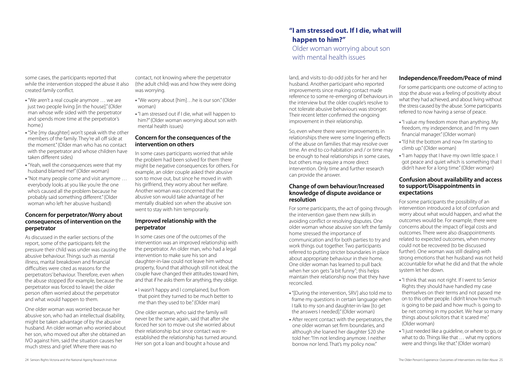some cases, the participants reported that while the intervention stopped the abuse it also created family conflict.

- •"We aren't a real couple anymore … we are just two people living [in the house]." (Older man whose wife sided with the perpetrator and spends more time at the perpetrator's home.)
- •"She [my daughter] won't speak with the other members of the family. They're all off side at the moment." (Older man who has no contact with the perpetrator and whose children have taken different sides)
- •"Yeah, well the consequences were that my husband blamed me!" (Older woman)
- •"Not many people come and visit anymore … everybody looks at you like you're the one who's caused all the problem because he probably said something different." (Older woman who left her abusive husband)

#### **Concern for perpetrator/Worry about consequences of intervention on the perpetrator**

As discussed in the earlier sections of the report, some of the participants felt the pressure their child was under was causing the abusive behaviour. Things such as mental illness, marital breakdown and financial difficulties were cited as reasons for the perpetrators' behaviour. Therefore, even when the abuse stopped (for example, because the perpetrator was forced to leave) the older person often worried about the perpetrator and what would happen to them.

• I wasn't happy and I complained, but from that point they turned to be much better to me than they used to be." (Older man)

One older woman was worried because her abusive son, who had an intellectual disability, might be taken advantage of by the abusive husband. An older woman who worried about her son, who moved out after she obtained an IVO against him, said the situation causes her much stress and grief. Where there was no

contact, not knowing where the perpetrator (the adult child) was and how they were doing was worrying.

- •"We worry about [him]…he is our son." (Older woman)
- •"I am stressed out if I die, what will happen to him?" (Older woman worrying about son with mental health issues)

#### **Concern for the consequences of the intervention on others**

In some cases participants worried that while the problem had been solved for them there might be negative consequences for others. For example, an older couple asked their abusive son to move out, but since he moved in with his girlfriend, they worry about her welfare. Another woman was concerned that the abusive son would take advantage of her mentally disabled son when the abusive son went to stay with him temporarily.

#### **Improved relationship with the perpetrator**

In some cases one of the outcomes of the intervention was an improved relationship with the perpetrator. An older man, who had a legal intervention to make sure his son and daughter-in-law could not leave him without property, found that although still not ideal, the couple have changed their attitudes toward him, and that if he asks them for anything, they oblige.

One older woman, who said the family will never be the same again, said that after she forced her son to move out she worried about their relationship but since contact was reestablished the relationship has turned around. Her son got a loan and bought a house and

land, and visits to do odd jobs for her and her husband. Another participant who reported improvements since making contact made reference to some re-emerging of behaviours in the interview but the older couple's resolve to not tolerate abusive behaviours was stronger. Their recent letter confirmed the ongoing improvement in their relationship.

So, even where there were improvements in relationships there were some lingering effects of the abuse on families that may resolve over time. An end to co-habitation and / or time may be enough to heal relationships in some cases, but others may require a more direct intervention. Only time and further research can provide the answer.

#### **Change of own behaviour/Increased knowledge of dispute avoidance or resolution**

For some participants, the act of going through the intervention gave them new skills in avoiding conflict or resolving disputes. One older woman whose abusive son left the family home stressed the importance of communication and for both parties to try and work things out together. Two participants referred to putting stricter boundaries in place about appropriate behaviour in their home. One older woman has learned to pull back when her son gets "a bit funny"; this helps maintain their relationship now that they have reconciled.

- •"[During the intervention, SRV] also told me to frame my questions in certain language when I talk to my son and daughter-in-law [to get the answers I needed]." (Older woman)
- After recent contact with the perpetrators, the one older woman set firm boundaries, and although she loaned her daughter \$20 she told her: "I'm not lending anymore. I neither borrow nor lend. That's my policy now."

#### **Independence/Freedom/Peace of mind**

For some participants one outcome of acting to stop the abuse was a feeling of positivity about what they had achieved, and about living without the stress caused by the abuse. Some participants referred to now having a sense of peace.

- •"I value my freedom more than anything. My freedom, my independence, and I'm my own financial manager." (Older woman)
- •"I'd hit the bottom and now I'm starting to climb up." (Older woman)
- •"I am happy that I have my own little space. I got peace and quiet which is something that I didn't have for a long time." (Older woman)

#### **Confusion about availability and access to support/Disappointments in expectations**

For some participants the possibility of an intervention introduced a lot of confusion and worry about what would happen, and what the outcomes would be. For example, there were concerns about the impact of legal costs and outcomes. There were also disappointments related to expected outcomes, when money could not be recovered (to be discussed further). One woman was still dealing with strong emotions that her husband was not held accountable for what he did and that the whole system let her down.

- •"I think that was not right. If I went to Senior Rights they should have handled my case themselves on their terms and not passed me on to this other people. I didn't know how much is going to be paid and how much is going to be net coming in my pocket. We hear so many things about solicitors that it scared me." (Older woman)
- •"I just needed like a guideline, or where to go, or what to do. Things like that … what my options were and things like that." (Older woman)

### **"I am stressed out. If I die, what will happen to him?"**

Older woman worrying about son with mental health issues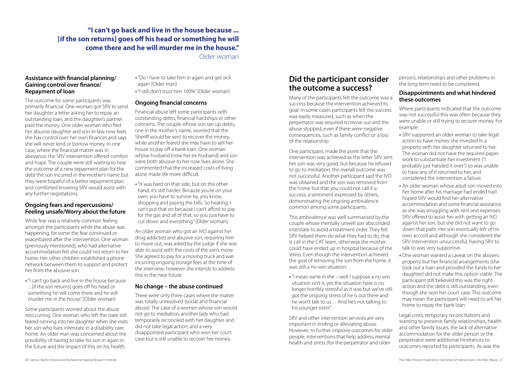#### **Assistance with financial planning/ Gaining control over finance/ Repayment of loan**

The outcome for some participants was primarily financial. One woman got SRV to send her daughter a letter asking her to repay an outstanding loan, and the daughter's partner paid the money. One older woman who fled her abusive daughter and son-in-law now feels she has control over her own finances and says she will never lend or borrow money. In one case, where the financial matter was in abeyance, the SRV intervention offered comfort and hope. The couple were still waiting to hear the outcome of a new repayment plan for the debt the son incurred in the mother's name but they were hopeful of a better repayment plan and comforted knowing SRV would assist with any further negotiations.

#### **Ongoing fears and repercussions/ Feeling unsafe/Worry about the future**

While fear was a relatively common feeling amongst the participants while the abuse was happening, for some the fear continued or exacerbated after the intervention. One woman (previously mentioned), who had alternative accommodation felt she could not return to her home. Her other children established a phone network between them to support and protect her from the abusive son.

•"I can't go back and live in the house because ... [if the son returns] goes off his head or something he will come there and he will murder me in the house." (Older woman)

Some participants worried about the abuse reoccurring. One woman who left the state still feared running into her daughter when she visits her son who lives interstate in a disability care home. An older man was concerned about the possibility of having to take his son in again in the future and the impact of this on his health.

- •"Do I have to take him in again and get sick again' (Older man)
- •"I still don't trust him 100%" (Older woman)

#### **Ongoing financial concerns**

Financial abuse left some participants with outstanding debts, financial hardships or other concerns. The couple whose son ran up debts, one in the mother's name, worried that the Sheriff would be sent to recover the money, while another feared she may have to sell her house to pay off a bank loan. One woman whose husband (now her ex-husband) and son were both abusive to her now lives alone. She commented that the increased costs of living alone made life more difficult.

•"It was hard on that side, but on the other hand, it's still harder. Because you're on your own, you have to survive by, you know, shopping and paying the bills. So heating, I can't put that on because I can't afford to pay for the gas and all of that, so you just have to cut down and everything." (Older woman)

An older woman who got an IVO against her drug addicted and abusive son, requiring him to move out, was asked by the judge if she was able to assist with the costs of the son's move. She agreed to pay for a moving truck and was incurring ongoing storage fees at the time of the interview; however she intends to address this in the near future.

#### **No change – the abuse continued**

There were only three cases where the matter was totally unresolved (social and financial abuse). The case of a women whose son would not go to mediation, another lady who had temporarily reconciled with her daughter and did not take legal action; and a very disappointed participant who won her court case but is still unable to recover her money.

## **Did the participant consider the outcome a success?**

Many of the participants felt the outcome was a success because the intervention achieved its goal. In some cases participants felt the success was easily measured, such as when the perpetrator was required to move out and the abuse stopped, even if there were negative consequences, such as family conflict or a loss of the relationship.

One participant, made the point that the intervention was achieved as the letter SRV sent her son was very good, but because he refused to go to mediation, the overall outcome was not successful. Another participant said the IVO was obtained and the son was removed from the home but that you could not call it a success; a sentiment expressed by others, demonstrating the ongoing ambivalence common among some participants.

This ambivalence was well summarised by the couple whose mentally unwell son absconded interstate to avoid a treatment order. They felt SRV helped them do what they had to do, that is call in the CAT team, otherwise the mother could have ended up in hospital because of the stress. Even though the intervention achieved the goal of removing the son from the home, it was still a no-win situation:

•"I mean we're in the – well I suppose a no win situation isn't it, yes the situation here is no longer horribly stressful as it was but we've still got the ongoing stress of he is out there and he won't talk to us… And he's not talking to his younger sister."

SRV and other intervention services are very important in ending or alleviating abuse. However, to further improve outcomes for older people, interventions that help address mental health and stress (for the perpetrator and older

person), relationships and other problems in the long term need to be considered.

#### **Disappointments and what hindered these outcomes**

Where participants indicated that the outcome was not successful this was often because they were unable or still trying to recover money. For example:

- SRV supported an older woman to take legal action to have money she invested in a property with her daughter returned to her. The woman did not have the required paper work to substantiate her investment ("I probably just handed it over") so was unable to have any of it returned to her, and considered the intervention a failure.
- An older woman whose adult son moved into her home after his marriage had ended had hoped SRV would find her alternative accommodation and some financial assistance as she was struggling with rent and expenses. SRV offered to assist her with getting an IVO against her son, but she did not want to go down that path. Her son eventually left of his own accord and although she considered the SRV intervention unsuccessful, having SRV to talk to was very supportive.
- One woman wanted a caveat on the abusers property but her financial arrangements (she took out a loan and provided the funds to her daughter) did not make this option viable. The participant still believed this was the right action and the debt is still outstanding, even though she won her court case. This outcome may mean the participant will need to sell her home to repay the bank loan.

Legal costs, temporary reconciliations and wanting to preserve family relationships, health and other family issues, the lack of alternative accommodation for the older person or the perpetrator were additional hindrances to outcomes reported by participants. As was the

### **"I can't go back and live in the house because ... [if the son returns] goes off his head or something he will come there and he will murder me in the house."**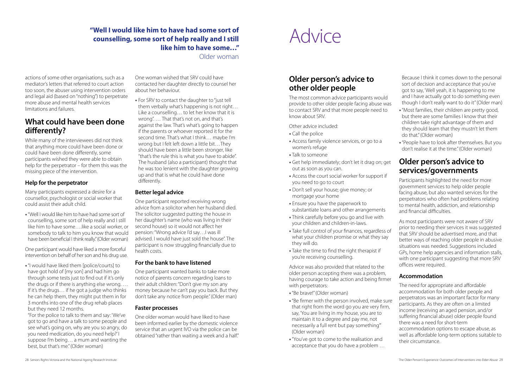actions of some other organisations, such as a mediator's letters that referred to court action too soon, the abuser using intervention orders and legal aid (based on "nothing") to perpetrate more abuse and mental health services limitations and failures.

## **What could have been done differently?**

While many of the interviewees did not think that anything more could have been done or could have been done differently, some participants wished they were able to obtain help for the perpetrator – for them this was the missing piece of the intervention.

#### **Help for the perpetrator**

Many participants expressed a desire for a counsellor, psychologist or social worker that could assist their adult child.

•"Well I would like him to have had some sort of counselling, some sort of help really and I still like him to have some….like a social worker, or somebody to talk to him you know that would have been beneficial I think really." (Older woman)

One participant would have liked a more forceful intervention on behalf of her son and his drug use.

•"I would have liked them [police/courts] to have got hold of [my son] and had him go through some tests just to find out if it's only the drugs or if there is anything else wrong. … If it's the drugs… if he got a judge who thinks he can help them, they might put them in for 3 months into one of the drug rehab places but they need 12 months.

"For the police to talk to them and say: 'We've got to go and have a talk to some people and see what's going on, why are you so angry, do you need medication, do you need help?'I suppose I'm being… a mum and wanting the best, but that's me." (Older woman)

One woman wished that SRV could have contacted her daughter directly to counsel her about her behaviour.

> Advice was also provided that related to the older person accepting there was a problem, having courage to take action and being firmer with perpetrators:

• For SRV to contact the daughter to "just tell them verbally what's happening is not right… Like a counselling… to let her know that it is wrong". … That that's not on, and that's against the law. That's what's going to happen if the parents or whoever reported it for the second time. That's what I think… maybe I'm wrong but I felt left down a little bit…They should have been a little been stronger, like "that's the rule this is what you have to abide". The husband (also a participant) thought that he was too lenient with the daughter growing up and that is what he could have done differently.

#### **Better legal advice**

One participant reported receiving wrong advice from a solicitor when her husband died. The solicitor suggested putting the house in her daughter's name (who was living in their second house) so it would not affect her pension: "Wrong advice I'd say…I was ill advised. I would have just sold the house". The participant is now struggling financially due to health costs.

#### **For the bank to have listened**

One participant wanted banks to take more notice of parents concern regarding loans to their adult children: "Don't give my son any money because he can't pay you back. But they don't take any notice from people." (Older man)

#### **Faster processes**

One older woman would have liked to have been informed earlier by the domestic violence service that an urgent IVO via the police can be obtained "rather than waiting a week and a half."

## Advice

## **Older person's advice to other older people**

The most common advice participants would provide to other older people facing abuse was to contact SRV and that more people need to know about SRV.

Other advice included:

- Call the police
- Access family violence services, or go to a women's refuge
- Talk to someone
- Get help immediately; don't let it drag on; get out as soon as you can.
- Access the court social worker for support if you need to go to court
- Don't sell your house; give money; or mortgage your home
- Ensure you have the paperwork to substantiate loans and other arrangements
- Think carefully before you go and live with your children and children-in-laws.
- Take full control of your finances, regardless of what your children promise or what they say they will do.
- Take the time to find the right therapist if you're receiving counselling.

- •"Be brave!" (Older woman)
- •"Be firmer with the person involved, make sure that right from the word go you are very firm, say, 'You are living in my house, you are to maintain it to a degree and pay me, not necessarily a full rent but pay something'" (Older woman)
- •"You've got to come to the realisation and acceptance that you do have a problem …

Because I think it comes down to the personal sort of decision and acceptance that you've got to say, 'Well yeah, it is happening to me and I have actually got to do something even though I don't really want to do it" (Older man)

- •"Most families, their children are pretty good, but there are some families I know that their children take right advantage of them and they should learn that they mustn't let them do that." (Older woman)
- •"People have to look after themselves. But you don't realise it at the time." (Older woman)

## **Older person's advice to services/governments**

Participants highlighted the need for more government services to help older people facing abuse, but also wanted services for the perpetrators who often had problems relating to mental health, addiction, and relationship and financial difficulties.

As most participants were not aware of SRV prior to needing their services it was suggested that SRV should be advertised more, and that better ways of reaching older people in abusive situations was needed. Suggestions included GPs, home help agencies and information stalls, with one participant suggesting that more SRV offices were required.

#### **Accommodation**

The need for appropriate and affordable accommodation for both older people and perpetrators was an important factor for many participants. As they are often on a limited income (receiving an aged pension, and/or suffering financial abuse) older people found there was a need for short-term accommodation options to escape abuse, as well as affordable long-term options suitable to their circumstance.

### **"Well I would like him to have had some sort of counselling, some sort of help really and I still like him to have some…"**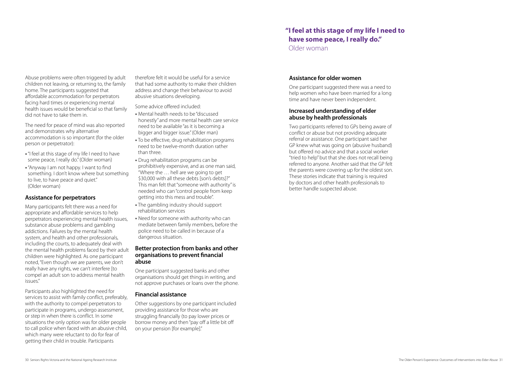Abuse problems were often triggered by adult children not leaving, or returning to, the family home. The participants suggested that affordable accommodation for perpetrators facing hard times or experiencing mental health issues would be beneficial so that family did not have to take them in.

The need for peace of mind was also reported and demonstrates why alternative accommodation is so important (for the older person or perpetrator):

- •"I feel at this stage of my life I need to have some peace, I really do." (Older woman)
- •"Anyway I am not happy. I want to find something. I don't know where but something to live, to have peace and quiet." (Older woman)

#### **Assistance for perpetrators**

Many participants felt there was a need for appropriate and affordable services to help perpetrators experiencing mental health issues, substance abuse problems and gambling addictions. Failures by the mental health system, and health and other professionals, including the courts, to adequately deal with the mental health problems faced by their adult children were highlighted. As one participant noted, "Even though we are parents, we don't really have any rights, we can't interfere [to compel an adult son to address mental health issues."

Participants also highlighted the need for services to assist with family conflict, preferably, with the authority to compel perpetrators to participate in programs, undergo assessment, or step in when there is conflict. In some situations the only option was for older people to call police when faced with an abusive child, which many were reluctant to do for fear of getting their child in trouble. Participants

therefore felt it would be useful for a service that had some authority to make their children address and change their behaviour to avoid abusive situations developing.

Some advice offered included:

- Mental health needs to be "discussed honestly" and more mental health care service need to be available "as it is becoming a bigger and bigger issue." (Older man)
- To be effective, drug rehabilitation programs need to be twelve-month duration rather than three.
- Drug rehabilitation programs can be prohibitively expensive, and as one man said, "Where the … hell are we going to get \$30,000 with all these debts [son's debts]?" This man felt that "someone with authority" is needed who can "control people from keep getting into this mess and trouble".
- The gambling industry should support rehabilitation services
- Need for someone with authority who can mediate between family members, before the police need to be called in because of a dangerous situation.

#### **Better protection from banks and other organisations to prevent financial abuse**

One participant suggested banks and other organisations should get things in writing, and not approve purchases or loans over the phone.

#### **Financial assistance**

Other suggestions by one participant included providing assistance for those who are struggling financially (to pay lower prices or borrow money and then "pay off a little bit off on your pension [for example]."

#### **Assistance for older women**

One participant suggested there was a need to help women who have been married for a long time and have never been independent.

#### **Increased understanding of elder abuse by health professionals**

Two participants referred to GPs being aware of conflict or abuse but not providing adequate referral or assistance. One participant said her GP knew what was going on (abusive husband) but offered no advice and that a social worker "tried to help" but that she does not recall being referred to anyone. Another said that the GP felt the parents were covering up for the oldest son. These stories indicate that training is required by doctors and other health professionals to better handle suspected abuse.

### **"I feel at this stage of my life I need to have some peace, I really do."**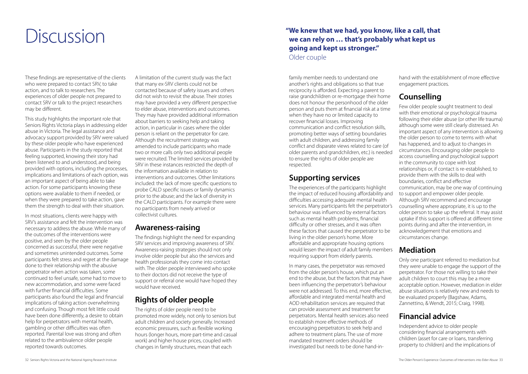## Discussion

These findings are representative of the clients who were prepared to contact SRV, to take action, and to talk to researchers. The experiences of older people not prepared to contact SRV or talk to the project researchers may be different.

This study highlights the important role that Seniors Rights Victoria plays in addressing elder abuse in Victoria. The legal assistance and advocacy support provided by SRV were valued by these older people who have experienced abuse. Participants in the study reported that feeling supported, knowing their story had been listened to and understood, and being provided with options, including the processes, implications and limitations of each option, was an important aspect of being able to take action. For some participants knowing these options were available to them if needed, or when they were prepared to take action, gave them the strength to deal with their situation.

In most situations, clients were happy with SRV's assistance and felt the intervention was necessary to address the abuse. While many of the outcomes of the interventions were positive, and seen by the older people concerned as successful, there were negative and sometimes unintended outcomes. Some participants felt stress and regret at the damage done to their relationship with the abusive perpetrator when action was taken, some continued to feel unsafe, some had to move to new accommodation, and some were faced with further financial difficulties. Some participants also found the legal and financial implications of taking action overwhelming and confusing. Though most felt little could have been done differently, a desire to obtain help for perpetrators with mental health, gambling or other difficulties was often reported. Parental love was strong and often related to the ambivalence older people reported towards outcomes.

A limitation of the current study was the fact that many ex-SRV clients could not be contacted because of safety issues and others did not wish to revisit the abuse. Their stories may have provided a very different perspective to elder abuse, interventions and outcomes. They may have provided additional information about barriers to seeking help and taking action, in particular in cases where the older person is reliant on the perpetrator for care. Although the recruitment strategy was amended to include participants who made two or more calls only two additional people were recruited. The limited services provided by SRV in these instances restricted the depth of the information available in relation to interventions and outcomes. Other limitations included: the lack of more specific questions to probe CALD specific issues or family dynamics prior to the abuse; and the lack of diversity in the CALD participants. For example there were no participants from newly arrived or collectivist cultures.

### **Awareness-raising**

The findings highlight the need for expanding SRV services and improving awareness of SRV. Awareness-raising strategies should not only involve older people but also the services and health professionals they come into contact with. The older people interviewed who spoke to their doctors did not receive the type of support or referral one would have hoped they would have received.

## **Rights of older people**

The rights of older people need to be promoted more widely, not only to seniors but adult children and society generally. Increased economic pressures, such as flexible working hours (longer hours, more part-time and casual work) and higher house prices, coupled with changes in family structures, mean that each

family member needs to understand one another's rights and obligations so that true reciprocity is afforded. Expecting a parent to raise grandchildren or re-mortgage their home does not honour the personhood of the older person and puts them at financial risk at a time when they have no or limited capacity to recover financial losses. Improving communication and conflict resolution skills, promoting better ways of setting boundaries with adult children, and addressing family conflict and disparate views related to care (of older parents and grandchildren, etc.) is needed to ensure the rights of older people are respected.

## **Supporting services**

The experiences of the participants highlight the impact of reduced housing affordability and difficulties accessing adequate mental health services. Many participants felt the perpetrator's behaviour was influenced by external factors such as mental health problems, financial difficulty or other stresses, and it was often these factors that caused the perpetrator to be living in the older person's home. More affordable and appropriate housing options would lessen the impact of adult family members requiring support from elderly parents.

In many cases, the perpetrator was removed from the older person's house, which put an end to the abuse, but the factors that may have been influencing the perpetrator's behaviour were not addressed. To this end, more effective, affordable and integrated mental health and AOD rehabilitation services are required that can provide assessment and treatment for perpetrators. Mental health services also need to establish more effective methods of encouraging perpetrators to seek help and adhere to treatment plans. The use of more mandated treatment orders should be investigated but needs to be done hand-inhand with the establishment of more effective engagement practices.

## **Counselling**

Few older people sought treatment to deal with their emotional or psychological trauma following their elder abuse (or other life trauma) although some were still clearly distressed. An important aspect of any intervention is allowing the older person to come to terms with what has happened, and to adjust to changes in circumstances. Encouraging older people to access counselling and psychological support in the community to cope with lost relationships or, if contact is re-established, to provide them with the skills to deal with boundaries, conflict and effective communication, may be one way of continuing to support and empower older people. Although SRV recommend and encourage counselling where appropriate, it is up to the older person to take up the referral. It may assist uptake if this support is offered at different time points during and after the intervention, in acknowledgement that emotions and circumstances change.

## **Mediation**

Only one participant referred to mediation but they were unable to engage the support of the perpetrator. For those not willing to take their adult children to court this may be a more acceptable option. However, mediation in elder abuse situations is relatively new and needs to be evaluated properly (Bagshaw, Adams, Zannettino, & Wendt, 2015; Craig, 1998).

## **Financial advice**

Independent advice to older people considering financial arrangements with children (asset for care or loans, transferring property to children) and the implications of

### **"We knew that we had, you know, like a call, that we can rely on … that's probably what kept us going and kept us stronger."** Older couple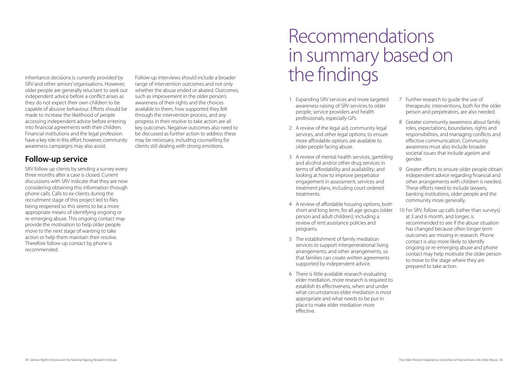inheritance decisions is currently provided by SRV and other seniors' organisations. However, older people are generally reluctant to seek out independent advice before a conflict arises as they do not expect their own children to be capable of abusive behaviour. Efforts should be made to increase the likelihood of people accessing independent advice before entering into financial agreements with their children. Financial institutions and the legal profession have a key role in this effort; however, community awareness campaigns may also assist.

## **Follow-up service**

SRV follow up clients by sending a survey every three months after a case is closed. Current discussions with SRV indicate that they are now considering obtaining this information through phone calls. Calls to ex-clients during the recruitment stage of this project led to files being reopened so this seems to be a more appropriate means of identifying ongoing or re-emerging abuse. This ongoing contact may provide the motivation to help older people move to the next stage of wanting to take action or help them maintain their resolve. Therefore follow-up contact by phone is recommended.

Follow-up interviews should include a broader range of intervention outcomes and not only whether the abuse ended or abated. Outcomes, such as improvement in the older person's awareness of their rights and the choices available to them, how supported they felt through the intervention process, and any progress in their resolve to take action are all key outcomes. Negative outcomes also need to be discussed as further action to address these may be necessary, including counselling for clients still dealing with strong emotions.

## Recommendations in summary based on the findings

- 1 Expanding SRV services and more targeted awareness-raising of SRV services to older people, service providers and health professionals, especially GPs.
- 2 A review of the legal aid, community legal services, and other legal options, to ensure more affordable options are available to older people facing abuse.
- 3 A review of mental health services, gambling and alcohol and/or other drug services in terms of affordability and availability; and looking at how to improve perpetrator engagement in assessment, services and treatment plans, including court ordered treatments.
- 4 A review of affordable housing options, both short and long term, for all age groups (older person and adult children); including a review of rent assistance policies and programs.
- 5 The establishment of family mediation services to support intergenerational living arrangements, and other arrangements, so that families can create written agreements supported by independent advice.
- 6 There is little available research evaluating elder mediation, more research is required to establish its effectiveness, when and under what circumstances elder mediation is most appropriate and what needs to be put in place to make elder mediation more effective.
- 7 Further research to guide the use of therapeutic interventions, both for the older person and perpetrators, are also needed.
- 8 Greater community awareness about family roles, expectations, boundaries, rights and responsibilities, and managing conflicts and effective communication. Community awareness must also include broader societal issues that include ageism and gender.
- 9 Greater efforts to ensure older people obtain independent advice regarding financial and other arrangements with children is needed. These efforts need to include lawyers, banking institutions, older people and the community more generally.
- 10 For SRV, follow up calls (rather than surveys) at 3 and 6 month, and longer, is recommended to see if the abuse situation has changed because often longer term outcomes are missing in research. Phone contact is also more likely to identify ongoing or re-emerging abuse and phone contact may help motivate the older person to move to the stage where they are prepared to take action.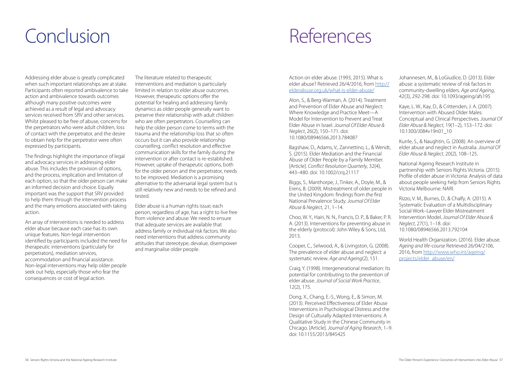# Conclusion References

Addressing elder abuse is greatly complicated when such important relationships are at stake. Participants often reported ambivalence to take action and ambivalence towards outcomes although many positive outcomes were achieved as a result of legal and advocacy services received from SRV and other services. Whilst pleased to be free of abuse, concerns for the perpetrators who were adult children, loss of contact with the perpetrator, and the desire to obtain help for the perpetrator were often expressed by participants.

The findings highlight the importance of legal and advocacy services in addressing elder abuse. This includes the provision of options, and the process, implication and limitation of each option, so that the older person can make an informed decision and choice. Equally important was the support that SRV provided to help them through the intervention process and the many emotions associated with taking action.

An array of interventions is needed to address elder abuse because each case has its own unique features. Non-legal intervention identified by participants included the need for therapeutic interventions (particularly for perpetrators), mediation services, accommodation and financial assistance. Non-legal interventions may help older people seek out help, especially those who fear the consequences or cost of legal action.

The literature related to therapeutic interventions and mediation is particularly limited in relation to elder abuse outcomes. However, therapeutic options offer the potential for healing and addressing family dynamics as older people generally want to preserve their relationship with adult children who are often perpetrators. Counselling can help the older person come to terms with the trauma and the relationship loss that so often occurs but it can also provide relationship counselling, conflict resolution and effective communication skills for the family during the intervention or after contact is re-established. However, uptake of therapeutic options, both for the older person and the perpetrator, needs to be improved. Mediation is a promising alternative to the adversarial legal system but is still relatively new and needs to be refined and tested.

Elder abuse is a human rights issue; each person, regardless of age, has a right to live free from violence and abuse. We need to ensure that adequate services are available that address family or individual risk factors. We also need interventions that address community attitudes that stereotype, devalue, disempower and marginalise older people.

Action on elder abuse. (1993, 2015). What is elder abuse? Retrieved 26/4/2016, from [http://](http://elderabuse.org.uk/what-is-elder-abuse/) [elderabuse.org.uk/what-is-elder-abuse/](http://elderabuse.org.uk/what-is-elder-abuse/)

Alon, S., & Berg-Warman, A. (2014). Treatment and Prevention of Elder Abuse and Neglect: Where Knowledge and Practice Meet—A Model for Intervention to Prevent and Treat Elder Abuse in Israel. *Journal Of Elder Abuse & Neglect*, 26(2), 150–171. doi: 10.1080/08946566.2013.784087

Bagshaw, D., Adams, V., Zannettino, L., & Wendt, S. (2015). Elder Mediation and the Financial Abuse of Older People by a Family Member. [Article]. *Conflict Resolution Quarterly*, 32(4), 443–480. doi: 10.1002/crq.21117

Biggs, S., Manthorpe, J., Tinker, A., Doyle, M., & Erens, B. (2009). Mistreatment of older people in the United Kingdom: findings from the first National Prevalence Study. *Journal Of Elder Abuse & Neglect*, 21, 1–14.

Choo, W. Y., Hairi, N. N., Francis, D. P., & Baker, P. R. A. (2013). Interventions for preventing abuse in the elderly (protocol): John Wiley & Sons, Ltd, 2013.

Cooper, C., Selwood, A., & Livingston, G. (2008). The prevalence of elder abuse and neglect: a systematic review. *Age and Ageing*(2), 151.

Craig, Y. (1998). Intergenerational mediation: Its potential for contributing to the prevention of elder abuse. *Journal of Social Work Practice*, 12(2), 175.

Dong, X., Chang, E.-S., Wong, E., & Simon, M. (2013). Perceived Effectiveness of Elder Abuse Interventions in Psychological Distress and the Design of Culturally Adapted Interventions: A Qualitative Study in the Chinese Community in Chicago. [Article]. *Journal of Aging Research*, 1–9. doi: 10.1155/2013/845425

Johannesen, M., & LoGiudice, D. (2013). Elder abuse: a systematic review of risk factors in community-dwelling elders. *Age and Ageing*, 42(3), 292-298. doi: 10.1093/ageing/afs195

Kaye, L. W., Kay, D., & Crittenden, J. A. (2007). Intervention with Abused Older Males: Conceptual and Clinical Perspectives. *Journal Of Elder Abuse & Neglect*, 19(1–2), 153–172. doi: 10.1300/J084v19n01\_10

Kurrle, S., & Naughtin, G. (2008). An overview of elder abuse and neglect in Australia. *Journal Of Elder Abuse & Neglect*, 20(2), 108–125.

National Ageing Research Institute in partnership with Seniors Rights Victoria. (2015). Profile of elder abuse in Victoria: Analysis of data about people seeking help from Seniors Rights Victoria Melbourne: NARI.

Rizzo, V. M., Burnes, D., & Chalfy, A. (2015). A Systematic Evaluation of a Multidisciplinary Social Work–Lawyer Elder Mistreatment Intervention Model. *Journal Of Elder Abuse & Neglect*, 27(1), 1–18. doi: 10.1080/08946566.2013.792104

World Health Organization. (2016). Elder abuse. *Ageing and life-course* Retrieved 26/04/2106, 2016, from [http://www.who.int/ageing/](http://www.who.int/ageing/projects/elder_abuse/en/) [projects/elder\\_abuse/en/](http://www.who.int/ageing/projects/elder_abuse/en/)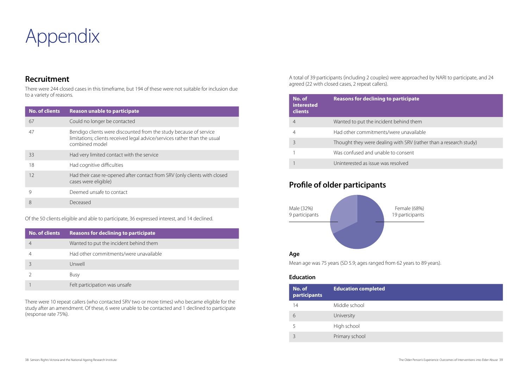

## **Recruitment**

There were 244 closed cases in this timeframe, but 194 of these were not suitable for inclusion due to a variety of reasons.

## **Profile of older participants**

A total of 39 participants (including 2 couples) were approached by NARI to participate, and 24 agreed (22 with closed cases, 2 repeat callers).

Mean age was 75 years (SD 5.9; ages ranged from 62 years to 89 years).

#### **Education**

Of the 50 clients eligible and able to participate, 36 expressed interest, and 14 declined.

There were 10 repeat callers (who contacted SRV two or more times) who became eligible for the study after an amendment. Of these, 6 were unable to be contacted and 1 declined to participate (response rate 75%).

| <b>No. of clients</b> | <b>Reason unable to participate</b>                                                                                                                              |
|-----------------------|------------------------------------------------------------------------------------------------------------------------------------------------------------------|
| 67                    | Could no longer be contacted                                                                                                                                     |
| 47                    | Bendigo clients were discounted from the study because of service<br>limitations; clients received legal advice/services rather than the usual<br>combined model |
| 33                    | Had very limited contact with the service                                                                                                                        |
| 18                    | Had cognitive difficulties                                                                                                                                       |
| 12                    | Had their case re-opened after contact from SRV (only clients with closed<br>cases were eligible)                                                                |
| 9                     | Deemed unsafe to contact                                                                                                                                         |
| 8                     | Deceased                                                                                                                                                         |



| No. of<br>interested<br><b>clients</b> | <b>Reasons for declining to participate</b>                       |
|----------------------------------------|-------------------------------------------------------------------|
|                                        | Wanted to put the incident behind them                            |
|                                        | Had other commitments/were unavailable                            |
|                                        | Thought they were dealing with SRV (rather than a research study) |
|                                        | Was confused and unable to consent                                |
|                                        | Uninterested as issue was resolved                                |

| No. of<br>participants | <b>Education completed</b> |
|------------------------|----------------------------|
| 14                     | Middle school              |
| Б                      | University                 |
| 5                      | High school                |
|                        | Primary school             |

| <b>rticipate</b>                       |
|----------------------------------------|
|                                        |
| hind them                              |
| e unavailable                          |
| ith SRV (rather than a research study) |
| onsent                                 |
|                                        |

| No. of clients | <b>Reasons for declining to participate</b> |
|----------------|---------------------------------------------|
|                | Wanted to put the incident behind them      |
|                | Had other commitments/were unavailable      |
|                | Unwell                                      |
|                | Busy                                        |
|                | Felt participation was unsafe               |

Female (68%) 19 participants

38 Seniors Rights Victoria and the National Ageing Research Institute The Older Person's Experience: Outcomes of Interventions into Elder Abuse 39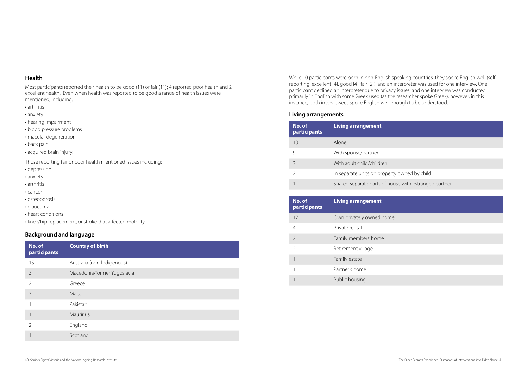#### **Health**

Most participants reported their health to be good (11) or fair (11); 4 reported poor health and 2 excellent health. Even when health was reported to be good a range of health issues were mentioned, including:

- arthritis
- anxiety
- hearing impairment
- blood pressure problems
- macular degeneration
- back pain
- acquired brain injury.

Those reporting fair or poor health mentioned issues including:

- depression
- anxiety
- arthritis
- cancer
- osteoporosis
- glaucoma
- heart conditions
- knee/hip replacement, or stroke that affected mobility.

#### **Background and language**

#### **Living arrangements**

| No. of<br>participants | <b>Country of birth</b>     |
|------------------------|-----------------------------|
| 15                     | Australia (non-Indigenous)  |
| $\mathcal{S}$          | Macedonia/former Yugoslavia |
| $\overline{2}$         | Greece                      |
| $\overline{3}$         | Malta                       |
|                        | Pakistan                    |
|                        | Mauririus                   |
| 2                      | England                     |
|                        | Scotland                    |

| No. of<br>participants | <b>Living arrangement</b>     |
|------------------------|-------------------------------|
| 13                     | Alone                         |
| 9                      | With spouse/partner           |
| 3                      | With adult child/children     |
| $\mathcal{L}$          | In separate units on property |
|                        | Shared separate parts of hous |

| No. of<br>participants | <b>Living arrangement</b> |
|------------------------|---------------------------|
| 17                     | Own privately owned home  |
| 4                      | Private rental            |
| $\overline{2}$         | Family members' home      |
| $\overline{2}$         | Retirement village        |
| 1                      | Family estate             |
| 1                      | Partner's home            |
|                        | Public housing            |

owned by child

se with estranged partner

40 Seniors Rights Victoria and the National Ageing Research Institute The Company Research Institute The Older Person's Experience: Outcomes of Interventions into Elder Abuse 41

While 10 participants were born in non-English speaking countries, they spoke English well (selfreporting: excellent [4], good [4], fair [2]), and an interpreter was used for one interview. One participant declined an interpreter due to privacy issues, and one interview was conducted primarily in English with some Greek used (as the researcher spoke Greek), however, in this instance, both interviewees spoke English well enough to be understood.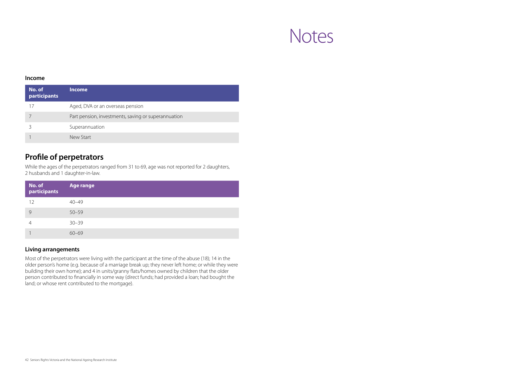#### **Income**

| No. of<br>participants | <b>Income</b>                                       |
|------------------------|-----------------------------------------------------|
| 17                     | Aged, DVA or an overseas pension                    |
|                        | Part pension, investments, saving or superannuation |
|                        | Superannuation                                      |
|                        | New Start                                           |

| No. of<br>participants | <b>Age range</b> |
|------------------------|------------------|
| 12                     | $40 - 49$        |
| 9                      | $50 - 59$        |
|                        | $30 - 39$        |
|                        | $60 - 69$        |

## **Profile of perpetrators**

While the ages of the perpetrators ranged from 31 to 69, age was not reported for 2 daughters, 2 husbands and 1 daughter-in-law.

#### **Living arrangements**

Most of the perpetrators were living with the participant at the time of the abuse (18); 14 in the older person's home (e.g. because of a marriage break up; they never left home; or while they were building their own home); and 4 in units/granny flats/homes owned by children that the older person contributed to financially in some way (direct funds; had provided a loan; had bought the land; or whose rent contributed to the mortgage).

## Notes